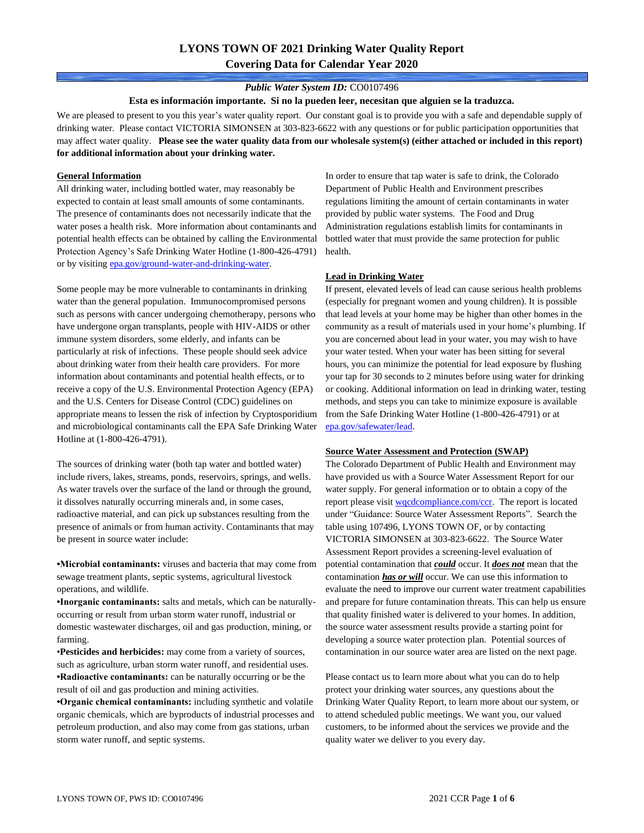### *Public Water System ID:* CO0107496

**Esta es información importante. Si no la pueden leer, necesitan que alguien se la traduzca.**

We are pleased to present to you this year's water quality report. Our constant goal is to provide you with a safe and dependable supply of drinking water. Please contact VICTORIA SIMONSEN at 303-823-6622 with any questions or for public participation opportunities that may affect water quality. **Please see the water quality data from our wholesale system(s) (either attached or included in this report) for additional information about your drinking water.**

#### **General Information**

All drinking water, including bottled water, may reasonably be expected to contain at least small amounts of some contaminants. The presence of contaminants does not necessarily indicate that the water poses a health risk. More information about contaminants and potential health effects can be obtained by calling the Environmental Protection Agency's Safe Drinking Water Hotline (1-800-426-4791) or by visiting [epa.gov/ground-water-and-drinking-water.](https://www.epa.gov/ground-water-and-drinking-water)

Some people may be more vulnerable to contaminants in drinking water than the general population. Immunocompromised persons such as persons with cancer undergoing chemotherapy, persons who have undergone organ transplants, people with HIV-AIDS or other immune system disorders, some elderly, and infants can be particularly at risk of infections. These people should seek advice about drinking water from their health care providers. For more information about contaminants and potential health effects, or to receive a copy of the U.S. Environmental Protection Agency (EPA) and the U.S. Centers for Disease Control (CDC) guidelines on appropriate means to lessen the risk of infection by Cryptosporidium and microbiological contaminants call the EPA Safe Drinking Water Hotline at (1-800-426-4791).

The sources of drinking water (both tap water and bottled water) include rivers, lakes, streams, ponds, reservoirs, springs, and wells. As water travels over the surface of the land or through the ground, it dissolves naturally occurring minerals and, in some cases, radioactive material, and can pick up substances resulting from the presence of animals or from human activity. Contaminants that may be present in source water include:

**•Microbial contaminants:** viruses and bacteria that may come from sewage treatment plants, septic systems, agricultural livestock operations, and wildlife.

**•Inorganic contaminants:** salts and metals, which can be naturallyoccurring or result from urban storm water runoff, industrial or domestic wastewater discharges, oil and gas production, mining, or farming.

•**Pesticides and herbicides:** may come from a variety of sources, such as agriculture, urban storm water runoff, and residential uses. **•Radioactive contaminants:** can be naturally occurring or be the result of oil and gas production and mining activities.

**•Organic chemical contaminants:** including synthetic and volatile organic chemicals, which are byproducts of industrial processes and petroleum production, and also may come from gas stations, urban storm water runoff, and septic systems.

In order to ensure that tap water is safe to drink, the Colorado Department of Public Health and Environment prescribes regulations limiting the amount of certain contaminants in water provided by public water systems. The Food and Drug Administration regulations establish limits for contaminants in bottled water that must provide the same protection for public health.

#### **Lead in Drinking Water**

If present, elevated levels of lead can cause serious health problems (especially for pregnant women and young children). It is possible that lead levels at your home may be higher than other homes in the community as a result of materials used in your home's plumbing. If you are concerned about lead in your water, you may wish to have your water tested. When your water has been sitting for several hours, you can minimize the potential for lead exposure by flushing your tap for 30 seconds to 2 minutes before using water for drinking or cooking. Additional information on lead in drinking water, testing methods, and steps you can take to minimize exposure is available from the Safe Drinking Water Hotline (1-800-426-4791) or at [epa.gov/safewater/lead.](http://www.epa.gov/safewater/lead) 

#### **Source Water Assessment and Protection (SWAP)**

The Colorado Department of Public Health and Environment may have provided us with a Source Water Assessment Report for our water supply. For general information or to obtain a copy of the report please visit [wqcdcompliance.com/ccr.](https://wqcdcompliance.com/ccr) The report is located under "Guidance: Source Water Assessment Reports". Search the table using 107496, LYONS TOWN OF, or by contacting VICTORIA SIMONSEN at 303-823-6622. The Source Water Assessment Report provides a screening-level evaluation of potential contamination that *could* occur. It *does not* mean that the contamination *has or will* occur. We can use this information to evaluate the need to improve our current water treatment capabilities and prepare for future contamination threats. This can help us ensure that quality finished water is delivered to your homes. In addition, the source water assessment results provide a starting point for developing a source water protection plan. Potential sources of contamination in our source water area are listed on the next page.

Please contact us to learn more about what you can do to help protect your drinking water sources, any questions about the Drinking Water Quality Report, to learn more about our system, or to attend scheduled public meetings. We want you, our valued customers, to be informed about the services we provide and the quality water we deliver to you every day.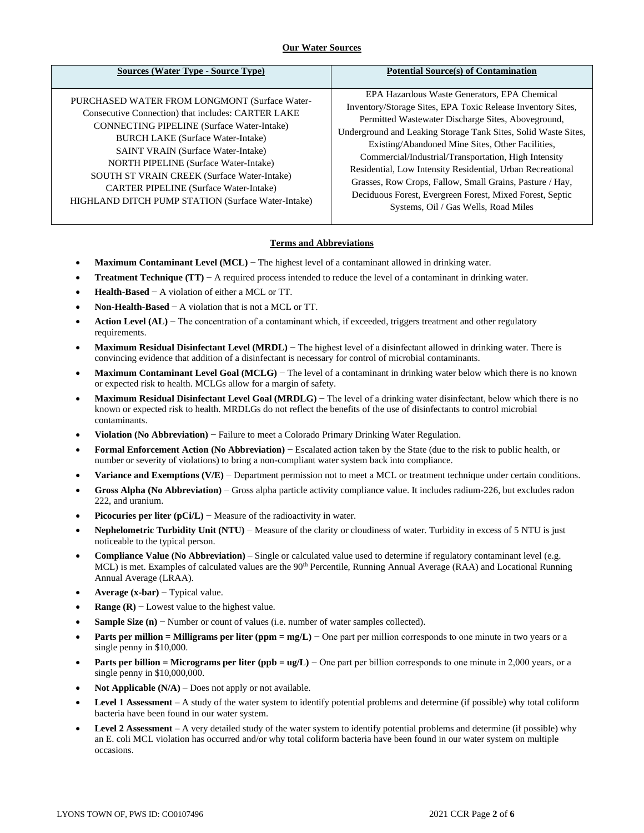## **Our Water Sources**

| Sources (Water Type - Source Type)                                                                                                                                                                                                                                                                                                                                                                                                                      | <b>Potential Source(s) of Contamination</b>                                                                                                                                                                                                                                                                                                                                                                                                                                                                                                                                   |
|---------------------------------------------------------------------------------------------------------------------------------------------------------------------------------------------------------------------------------------------------------------------------------------------------------------------------------------------------------------------------------------------------------------------------------------------------------|-------------------------------------------------------------------------------------------------------------------------------------------------------------------------------------------------------------------------------------------------------------------------------------------------------------------------------------------------------------------------------------------------------------------------------------------------------------------------------------------------------------------------------------------------------------------------------|
| PURCHASED WATER FROM LONGMONT (Surface Water-<br>Consecutive Connection) that includes: CARTER LAKE<br><b>CONNECTING PIPELINE</b> (Surface Water-Intake)<br><b>BURCH LAKE (Surface Water-Intake)</b><br><b>SAINT VRAIN (Surface Water-Intake)</b><br><b>NORTH PIPELINE</b> (Surface Water-Intake)<br>SOUTH ST VRAIN CREEK (Surface Water-Intake)<br><b>CARTER PIPELINE</b> (Surface Water-Intake)<br>HIGHLAND DITCH PUMP STATION (Surface Water-Intake) | EPA Hazardous Waste Generators, EPA Chemical<br>Inventory/Storage Sites, EPA Toxic Release Inventory Sites,<br>Permitted Wastewater Discharge Sites, Aboveground,<br>Underground and Leaking Storage Tank Sites, Solid Waste Sites,<br>Existing/Abandoned Mine Sites, Other Facilities,<br>Commercial/Industrial/Transportation, High Intensity<br>Residential, Low Intensity Residential, Urban Recreational<br>Grasses, Row Crops, Fallow, Small Grains, Pasture / Hay,<br>Deciduous Forest, Evergreen Forest, Mixed Forest, Septic<br>Systems, Oil / Gas Wells, Road Miles |

## **Terms and Abbreviations**

- **Maximum Contaminant Level (MCL)** − The highest level of a contaminant allowed in drinking water.
- **Treatment Technique (TT)** − A required process intended to reduce the level of a contaminant in drinking water.
- **Health-Based** − A violation of either a MCL or TT.
- **Non-Health-Based** − A violation that is not a MCL or TT.
- **Action Level (AL)** − The concentration of a contaminant which, if exceeded, triggers treatment and other regulatory requirements.
- **Maximum Residual Disinfectant Level (MRDL)** − The highest level of a disinfectant allowed in drinking water. There is convincing evidence that addition of a disinfectant is necessary for control of microbial contaminants.
- **Maximum Contaminant Level Goal (MCLG)** − The level of a contaminant in drinking water below which there is no known or expected risk to health. MCLGs allow for a margin of safety.
- **Maximum Residual Disinfectant Level Goal (MRDLG)** − The level of a drinking water disinfectant, below which there is no known or expected risk to health. MRDLGs do not reflect the benefits of the use of disinfectants to control microbial contaminants.
- **Violation (No Abbreviation)** − Failure to meet a Colorado Primary Drinking Water Regulation.
- **Formal Enforcement Action (No Abbreviation)** − Escalated action taken by the State (due to the risk to public health, or number or severity of violations) to bring a non-compliant water system back into compliance.
- **Variance and Exemptions (V/E)** − Department permission not to meet a MCL or treatment technique under certain conditions.
- **Gross Alpha (No Abbreviation)** − Gross alpha particle activity compliance value. It includes radium-226, but excludes radon 222, and uranium.
- **Picocuries per liter (pCi/L)** − Measure of the radioactivity in water.
- **Nephelometric Turbidity Unit (NTU)** − Measure of the clarity or cloudiness of water. Turbidity in excess of 5 NTU is just noticeable to the typical person.
- **Compliance Value (No Abbreviation)** Single or calculated value used to determine if regulatory contaminant level (e.g. MCL) is met. Examples of calculated values are the 90<sup>th</sup> Percentile, Running Annual Average (RAA) and Locational Running Annual Average (LRAA).
- **Average (x-bar)** − Typical value.
- **Range (R)**  $-$  Lowest value to the highest value.
- **Sample Size (n)** − Number or count of values (i.e. number of water samples collected).
- **Parts per million = Milligrams per liter (ppm = mg/L)** − One part per million corresponds to one minute in two years or a single penny in \$10,000.
- **Parts per billion = Micrograms per liter (ppb = ug/L)** − One part per billion corresponds to one minute in 2,000 years, or a single penny in \$10,000,000.
- **Not Applicable (N/A)** Does not apply or not available.
- **Level 1 Assessment** A study of the water system to identify potential problems and determine (if possible) why total coliform bacteria have been found in our water system.
- **Level 2 Assessment** A very detailed study of the water system to identify potential problems and determine (if possible) why an E. coli MCL violation has occurred and/or why total coliform bacteria have been found in our water system on multiple occasions.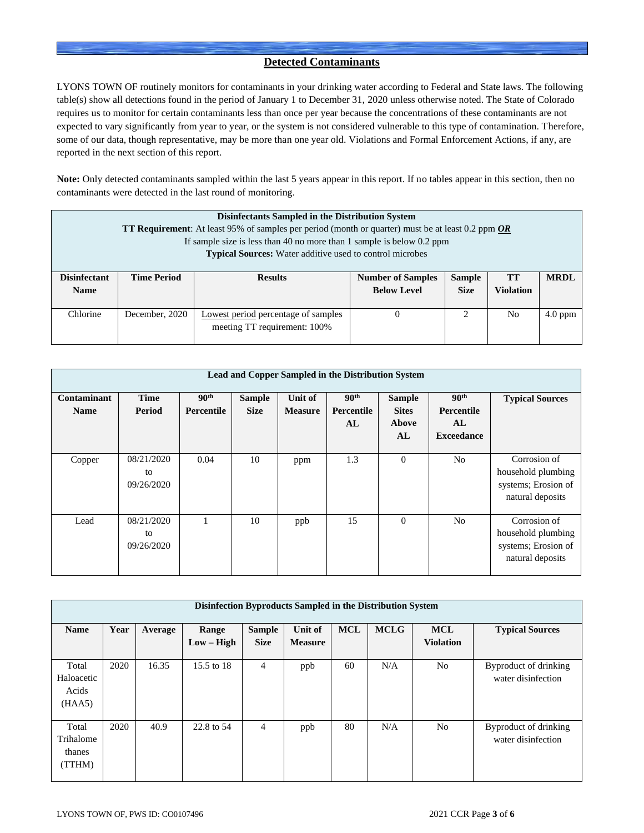# **Detected Contaminants**

LYONS TOWN OF routinely monitors for contaminants in your drinking water according to Federal and State laws. The following table(s) show all detections found in the period of January 1 to December 31, 2020 unless otherwise noted. The State of Colorado requires us to monitor for certain contaminants less than once per year because the concentrations of these contaminants are not expected to vary significantly from year to year, or the system is not considered vulnerable to this type of contamination. Therefore, some of our data, though representative, may be more than one year old. Violations and Formal Enforcement Actions, if any, are reported in the next section of this report.

**Note:** Only detected contaminants sampled within the last 5 years appear in this report. If no tables appear in this section, then no contaminants were detected in the last round of monitoring.

|                                    | Disinfectants Sampled in the Distribution System<br><b>TT Requirement:</b> At least 95% of samples per period (month or quarter) must be at least 0.2 ppm $OR$<br>If sample size is less than 40 no more than 1 sample is below 0.2 ppm<br><b>Typical Sources:</b> Water additive used to control microbes |                                                                     |                                                |                              |                        |             |  |  |  |  |
|------------------------------------|------------------------------------------------------------------------------------------------------------------------------------------------------------------------------------------------------------------------------------------------------------------------------------------------------------|---------------------------------------------------------------------|------------------------------------------------|------------------------------|------------------------|-------------|--|--|--|--|
| <b>Disinfectant</b><br><b>Name</b> | <b>Time Period</b>                                                                                                                                                                                                                                                                                         | <b>Results</b>                                                      | <b>Number of Samples</b><br><b>Below Level</b> | <b>Sample</b><br><b>Size</b> | TT<br><b>Violation</b> | <b>MRDL</b> |  |  |  |  |
| Chlorine                           | December, 2020                                                                                                                                                                                                                                                                                             | Lowest period percentage of samples<br>meeting TT requirement: 100% |                                                | 2                            | No                     | $4.0$ ppm   |  |  |  |  |

|                            | Lead and Copper Sampled in the Distribution System |                                       |                              |                           |                                      |                                              |                                                                  |                                                                               |  |  |  |
|----------------------------|----------------------------------------------------|---------------------------------------|------------------------------|---------------------------|--------------------------------------|----------------------------------------------|------------------------------------------------------------------|-------------------------------------------------------------------------------|--|--|--|
| Contaminant<br><b>Name</b> | <b>Time</b><br>Period                              | 90 <sup>th</sup><br><b>Percentile</b> | <b>Sample</b><br><b>Size</b> | Unit of<br><b>Measure</b> | 90 <sup>th</sup><br>Percentile<br>AL | <b>Sample</b><br><b>Sites</b><br>Above<br>AL | 90 <sup>th</sup><br><b>Percentile</b><br>AL<br><b>Exceedance</b> | <b>Typical Sources</b>                                                        |  |  |  |
| Copper                     | 08/21/2020<br>to<br>09/26/2020                     | 0.04                                  | 10                           | ppm                       | 1.3                                  | $\theta$                                     | N <sub>o</sub>                                                   | Corrosion of<br>household plumbing<br>systems; Erosion of<br>natural deposits |  |  |  |
| Lead                       | 08/21/2020<br>to<br>09/26/2020                     |                                       | 10                           | ppb                       | 15                                   | $\Omega$                                     | N <sub>0</sub>                                                   | Corrosion of<br>household plumbing<br>systems; Erosion of<br>natural deposits |  |  |  |

|                                        | Disinfection Byproducts Sampled in the Distribution System |         |                       |                              |                           |            |             |                                |                                             |  |  |  |
|----------------------------------------|------------------------------------------------------------|---------|-----------------------|------------------------------|---------------------------|------------|-------------|--------------------------------|---------------------------------------------|--|--|--|
| <b>Name</b>                            | Year                                                       | Average | Range<br>$Low - High$ | <b>Sample</b><br><b>Size</b> | Unit of<br><b>Measure</b> | <b>MCL</b> | <b>MCLG</b> | <b>MCL</b><br><b>Violation</b> | <b>Typical Sources</b>                      |  |  |  |
| Total<br>Haloacetic<br>Acids<br>(HAA5) | 2020                                                       | 16.35   | 15.5 to 18            | 4                            | ppb                       | 60         | N/A         | N <sub>o</sub>                 | Byproduct of drinking<br>water disinfection |  |  |  |
| Total<br>Trihalome<br>thanes<br>(TTHM) | 2020                                                       | 40.9    | 22.8 to 54            | $\overline{4}$               | ppb                       | 80         | N/A         | N <sub>o</sub>                 | Byproduct of drinking<br>water disinfection |  |  |  |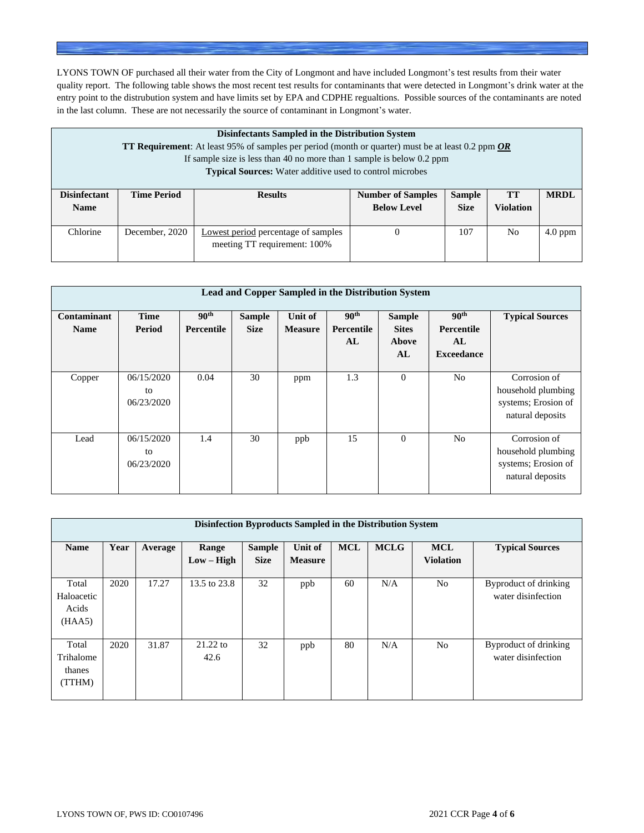LYONS TOWN OF purchased all their water from the City of Longmont and have included Longmont's test results from their water quality report. The following table shows the most recent test results for contaminants that were detected in Longmont's drink water at the entry point to the distrubution system and have limits set by EPA and CDPHE regualtions. Possible sources of the contaminants are noted in the last column. These are not necessarily the source of contaminant in Longmont's water.

|                                    | Disinfectants Sampled in the Distribution System<br><b>TT Requirement</b> : At least 95% of samples per period (month or quarter) must be at least 0.2 ppm <b>OR</b><br>If sample size is less than 40 no more than 1 sample is below $0.2$ ppm<br><b>Typical Sources:</b> Water additive used to control microbes |                                                                     |                                                |                              |                               |             |  |  |  |  |
|------------------------------------|--------------------------------------------------------------------------------------------------------------------------------------------------------------------------------------------------------------------------------------------------------------------------------------------------------------------|---------------------------------------------------------------------|------------------------------------------------|------------------------------|-------------------------------|-------------|--|--|--|--|
| <b>Disinfectant</b><br><b>Name</b> | <b>Time Period</b>                                                                                                                                                                                                                                                                                                 | <b>Results</b>                                                      | <b>Number of Samples</b><br><b>Below Level</b> | <b>Sample</b><br><b>Size</b> | <b>TT</b><br><b>Violation</b> | <b>MRDL</b> |  |  |  |  |
| Chlorine                           | December, 2020                                                                                                                                                                                                                                                                                                     | Lowest period percentage of samples<br>meeting TT requirement: 100% | $\Omega$                                       | 107                          | No.                           | $4.0$ ppm   |  |  |  |  |

|                            | Lead and Copper Sampled in the Distribution System |                                       |                              |                                  |                                      |                                              |                                                                  |                                                                               |  |  |  |
|----------------------------|----------------------------------------------------|---------------------------------------|------------------------------|----------------------------------|--------------------------------------|----------------------------------------------|------------------------------------------------------------------|-------------------------------------------------------------------------------|--|--|--|
| Contaminant<br><b>Name</b> | <b>Time</b><br>Period                              | 90 <sup>th</sup><br><b>Percentile</b> | <b>Sample</b><br><b>Size</b> | <b>Unit of</b><br><b>Measure</b> | 90 <sup>th</sup><br>Percentile<br>AL | <b>Sample</b><br><b>Sites</b><br>Above<br>AL | 90 <sup>th</sup><br><b>Percentile</b><br>AL<br><b>Exceedance</b> | <b>Typical Sources</b>                                                        |  |  |  |
| Copper                     | 06/15/2020<br>to<br>06/23/2020                     | 0.04                                  | 30                           | ppm                              | 1.3                                  | $\Omega$                                     | N <sub>0</sub>                                                   | Corrosion of<br>household plumbing<br>systems; Erosion of<br>natural deposits |  |  |  |
| Lead                       | 06/15/2020<br>to<br>06/23/2020                     | 1.4                                   | 30                           | ppb                              | 15                                   | $\Omega$                                     | N <sub>0</sub>                                                   | Corrosion of<br>household plumbing<br>systems; Erosion of<br>natural deposits |  |  |  |

|                                        | Disinfection Byproducts Sampled in the Distribution System |         |                       |                              |                           |            |             |                                |                                             |  |  |  |  |
|----------------------------------------|------------------------------------------------------------|---------|-----------------------|------------------------------|---------------------------|------------|-------------|--------------------------------|---------------------------------------------|--|--|--|--|
| <b>Name</b>                            | Year                                                       | Average | Range<br>$Low - High$ | <b>Sample</b><br><b>Size</b> | Unit of<br><b>Measure</b> | <b>MCL</b> | <b>MCLG</b> | <b>MCL</b><br><b>Violation</b> | <b>Typical Sources</b>                      |  |  |  |  |
| Total<br>Haloacetic<br>Acids<br>(HAA5) | 2020                                                       | 17.27   | 13.5 to 23.8          | 32                           | ppb                       | 60         | N/A         | N <sub>o</sub>                 | Byproduct of drinking<br>water disinfection |  |  |  |  |
| Total<br>Trihalome<br>thanes<br>(TTHM) | 2020                                                       | 31.87   | $21.22$ to<br>42.6    | 32                           | ppb                       | 80         | N/A         | No                             | Byproduct of drinking<br>water disinfection |  |  |  |  |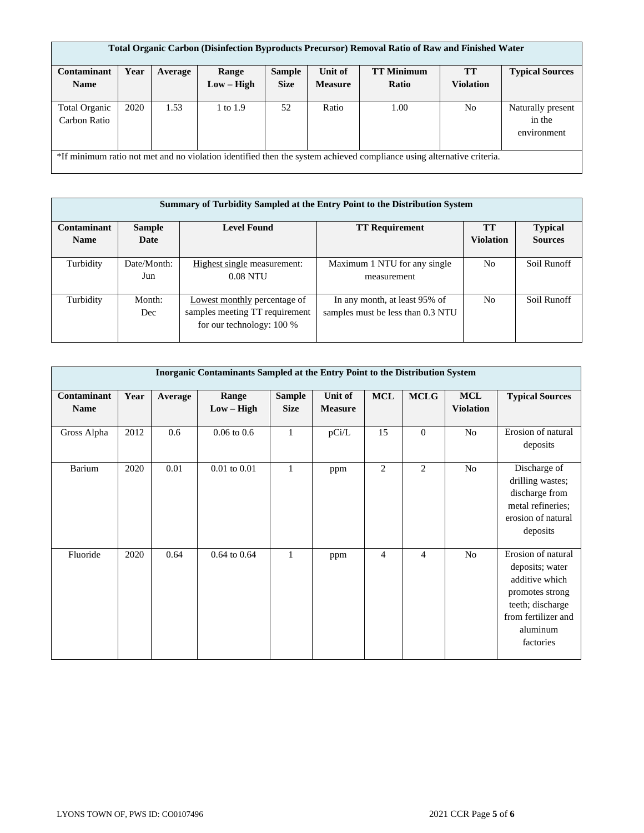|                      | Total Organic Carbon (Disinfection Byproducts Precursor) Removal Ratio of Raw and Finished Water |         |            |               |                |                                                                                                                       |                  |                        |  |  |  |
|----------------------|--------------------------------------------------------------------------------------------------|---------|------------|---------------|----------------|-----------------------------------------------------------------------------------------------------------------------|------------------|------------------------|--|--|--|
| Contaminant          | Year                                                                                             | Average | Range      | <b>Sample</b> | Unit of        | <b>TT Minimum</b>                                                                                                     | <b>TT</b>        | <b>Typical Sources</b> |  |  |  |
| <b>Name</b>          |                                                                                                  |         | Low – High | <b>Size</b>   | <b>Measure</b> | Ratio                                                                                                                 | <b>Violation</b> |                        |  |  |  |
|                      |                                                                                                  |         |            |               |                |                                                                                                                       |                  |                        |  |  |  |
| <b>Total Organic</b> | 2020                                                                                             | 1.53    | 1 to 1.9   | 52            | Ratio          | 1.00                                                                                                                  | No.              | Naturally present      |  |  |  |
| Carbon Ratio         |                                                                                                  |         |            |               |                |                                                                                                                       |                  | in the                 |  |  |  |
|                      |                                                                                                  |         |            |               |                |                                                                                                                       |                  | environment            |  |  |  |
|                      |                                                                                                  |         |            |               |                |                                                                                                                       |                  |                        |  |  |  |
|                      |                                                                                                  |         |            |               |                | *If minimum ratio not met and no violation identified then the system achieved compliance using alternative criteria. |                  |                        |  |  |  |

|                            |                       |                                                                                             | <b>Summary of Turbidity Sampled at the Entry Point to the Distribution System</b> |                               |                                  |
|----------------------------|-----------------------|---------------------------------------------------------------------------------------------|-----------------------------------------------------------------------------------|-------------------------------|----------------------------------|
| Contaminant<br><b>Name</b> | <b>Sample</b><br>Date | <b>Level Found</b>                                                                          | <b>TT Requirement</b>                                                             | <b>TT</b><br><b>Violation</b> | <b>Typical</b><br><b>Sources</b> |
| Turbidity                  | Date/Month:<br>Jun    | Highest single measurement:<br>$0.08$ NTU                                                   | Maximum 1 NTU for any single<br>measurement                                       | N <sub>0</sub>                | Soil Runoff                      |
| Turbidity                  | Month:<br>Dec         | Lowest monthly percentage of<br>samples meeting TT requirement<br>for our technology: 100 % | In any month, at least 95% of<br>samples must be less than 0.3 NTU                | N <sub>o</sub>                | Soil Runoff                      |

|                            |      |         | Inorganic Contaminants Sampled at the Entry Point to the Distribution System |                              |                           |                |                |                                |                                                                                                                                                |
|----------------------------|------|---------|------------------------------------------------------------------------------|------------------------------|---------------------------|----------------|----------------|--------------------------------|------------------------------------------------------------------------------------------------------------------------------------------------|
| Contaminant<br><b>Name</b> | Year | Average | Range<br>$Low - High$                                                        | <b>Sample</b><br><b>Size</b> | Unit of<br><b>Measure</b> | MCL            | <b>MCLG</b>    | <b>MCL</b><br><b>Violation</b> | <b>Typical Sources</b>                                                                                                                         |
| Gross Alpha                | 2012 | 0.6     | $0.06$ to $0.6$                                                              | $\mathbf{1}$                 | pCi/L                     | 15             | $\theta$       | No                             | Erosion of natural<br>deposits                                                                                                                 |
| Barium                     | 2020 | 0.01    | $0.01$ to $0.01$                                                             | 1                            | ppm                       | $\overline{2}$ | 2              | N <sub>o</sub>                 | Discharge of<br>drilling wastes;<br>discharge from<br>metal refineries;<br>erosion of natural<br>deposits                                      |
| Fluoride                   | 2020 | 0.64    | $0.64$ to $0.64$                                                             | 1                            | ppm                       | $\overline{4}$ | $\overline{4}$ | N <sub>o</sub>                 | Erosion of natural<br>deposits; water<br>additive which<br>promotes strong<br>teeth; discharge<br>from fertilizer and<br>aluminum<br>factories |